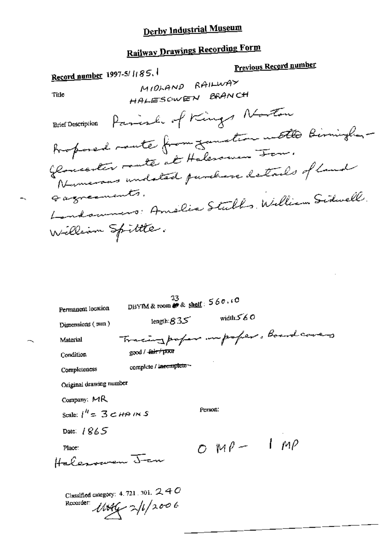# **Railway Drawings Recording Form**

 $\overline{a}$ 

|                          | Record number 1997-5/1185.                                                      | <b>Previous Record number</b> |  |
|--------------------------|---------------------------------------------------------------------------------|-------------------------------|--|
|                          | MIDLAND RAILWAY                                                                 |                               |  |
| Title                    | HALESOWEN BRANCH                                                                |                               |  |
| <b>Brief Description</b> | Parish of Kings Norton                                                          |                               |  |
|                          | Proposed mate from your time with Birningham                                    |                               |  |
|                          | Glomeenter matte at Halesomen For.<br>Numerous undsted parchare details of land |                               |  |
| Gaznecuents.             | Londoumers: Amelia Stulls, William Sidwell.                                     |                               |  |
|                          |                                                                                 |                               |  |
|                          | William Spittle.                                                                |                               |  |
|                          |                                                                                 |                               |  |
|                          |                                                                                 |                               |  |
|                          |                                                                                 |                               |  |

| Permanent location                     | 33.<br>DBYIM & room $\stackrel{\sim}{\bullet}$ & shelf: $560.00$ |             |                                     |
|----------------------------------------|------------------------------------------------------------------|-------------|-------------------------------------|
| Dimensions (mm)                        | length: $835$                                                    | width $560$ |                                     |
| Material                               |                                                                  |             | Tracing paper imporper. Board caves |
| Condition                              | good / fair / poor                                               |             |                                     |
| Completeness                           | complete / incomplete -                                          |             |                                     |
| Original drawing number                |                                                                  |             |                                     |
| Company: $MR$                          |                                                                  |             |                                     |
| Scale: $i'' = 3$ $\lt$ <i>HA I</i> N S |                                                                  | Person:     |                                     |
| Date: $1865$                           |                                                                  |             |                                     |
| Place:                                 |                                                                  | $OMP-IMP$   |                                     |
| Halerowen J-an                         |                                                                  |             |                                     |
| Recorder:                              | Classified category: 4, 721, 301, $240$<br>$11046 - 2/1/2006$    |             |                                     |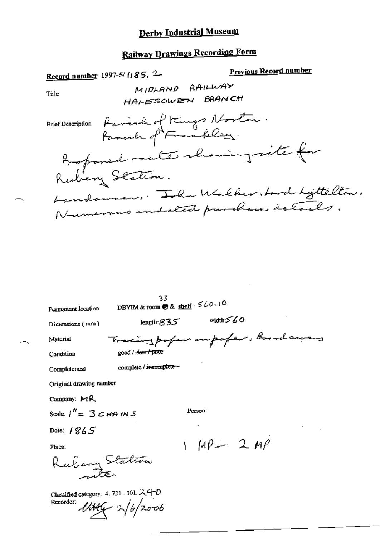# Railway Drawings Recording Form

|                                     | <b>Previous Record number</b><br>Record number 1997-5/1185. 2 |
|-------------------------------------|---------------------------------------------------------------|
| Title                               | MIDLAND RAILWAY                                               |
|                                     | HALESOWEN BRANCH                                              |
|                                     | Brief Description favorite of Kings Norton.                   |
|                                     | Bosponed route shawing site for                               |
|                                     | Rubing Station.                                               |
|                                     | Landowners. Ilm Walkerstard Lyttelton,                        |
|                                     | Numerous indicted purchase details.                           |
|                                     |                                                               |
|                                     |                                                               |
|                                     |                                                               |
|                                     |                                                               |
|                                     | 33<br>DBYIM & room $\mathbf{\Theta}$ & shelf: $560.10$        |
| Permanent location                  | width $560$<br>length: $835$                                  |
| Dimensions $(mn)$                   |                                                               |
| Material                            | Tracing profess ampaper, board covers                         |
| Condition                           | good / -fair / poor                                           |
| Completeness                        | complete / incomplete -                                       |
| Original drawing number             |                                                               |
| Company: MR                         |                                                               |
| Scale: $1'' = 3$ $\epsilon$ HA IN S | Person:                                                       |
| Date: $1865$                        |                                                               |
| Place:                              | $MP - 2MP$                                                    |
|                                     | Kubery Station                                                |
|                                     |                                                               |

Classified category: 4.721.301.24-0<br>Recorder:  $\mathcal{U}\mathcal{U}\mathcal{U}\sim \frac{1}{6}/2006$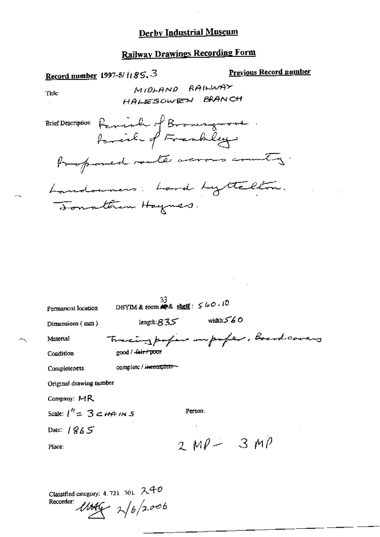$\cdot$ 

# **Railway Drawings Recording Form**

| <u>Record number</u> 1997-5/11 85, 3                                 | <u>Previous Record number</u> |
|----------------------------------------------------------------------|-------------------------------|
| MIDLAND RAILWAY<br>Title                                             |                               |
| HALESOWEN BRANCH                                                     |                               |
| Brief Description Raminh of Browngrouse.                             |                               |
| Proposed route across country.                                       |                               |
| Landowners: Lord Lyttelton.                                          |                               |
| Tomathan Haynes.                                                     |                               |
|                                                                      |                               |
|                                                                      |                               |
|                                                                      |                               |
|                                                                      |                               |
|                                                                      |                               |
| 33.                                                                  |                               |
| DBYIM & room $\clubsuit$ & shelf: $\leq$ 60.10<br>Permanent location |                               |
| width $560$<br>length:835<br>Dimensions (mm)                         |                               |
| Tracing profess imporfer, board covers<br>Material                   |                               |
| good / <del>fair / poor</del><br>Condition                           |                               |
| complete / incomplete-<br>Completeness                               |                               |
| Original drawing number                                              |                               |
| Company: MR                                                          |                               |
| Person:<br>Scale: $1'' = 3$ $\leq$ HA IN S                           |                               |
| Date: $1865$                                                         |                               |
| $2MP - 3MP$<br>Place:                                                |                               |
|                                                                      |                               |

Classified category: 4.721.301.  $240$ <br>Recorder:  $\mathcal{U}\mathcal{U}\mathcal{U}$   $\mathcal{V}\left(6/2006\right)$ 

 $\overline{a}$ 

 $-1$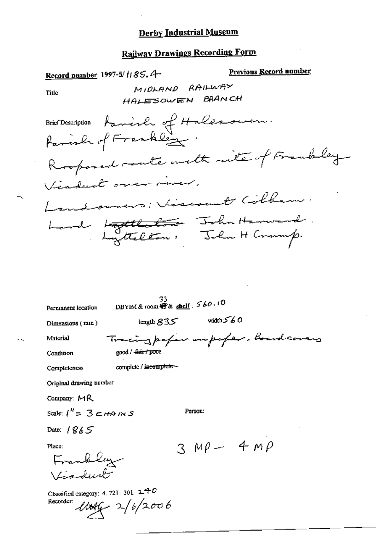# Railway Drawings Recording Form

| Record number 1997-5/1185.4                                                           |                                                                                                                               | <u>Previous Record number</u>                                                                                                                                        |
|---------------------------------------------------------------------------------------|-------------------------------------------------------------------------------------------------------------------------------|----------------------------------------------------------------------------------------------------------------------------------------------------------------------|
| Title                                                                                 | MIOLAND RAILWAY                                                                                                               |                                                                                                                                                                      |
|                                                                                       | HALESOWEN BRANCH                                                                                                              |                                                                                                                                                                      |
|                                                                                       | Viaduct over river.                                                                                                           | Brier Doscription famille of Halessuren.<br>Parish of Frankley<br>Rooponed route with rite of Frankly<br>Landowners: Viscout Colham.<br>Land Lottleton, John Harward |
| Permanent location<br>Dimensions (mm)<br>Material<br>Condition<br>Completeness        | 33.<br>DBYIM & room $\mathcal{R}$ & shelf: $560.10$<br>length: 835<br>good / <del>Jair / poor</del><br>compicte / incompicto- | width 560<br>Tracing paper unpoper. Board covers                                                                                                                     |
| Original drawing number                                                               |                                                                                                                               |                                                                                                                                                                      |
| Company: $MR$                                                                         |                                                                                                                               |                                                                                                                                                                      |
| Scale: $l'' = 3$ $\subset$ HA IN S                                                    |                                                                                                                               | Person:                                                                                                                                                              |
| Date: $1865$                                                                          |                                                                                                                               |                                                                                                                                                                      |
| Place:<br>Frankley<br>Viadurk<br>Classified category: 4, 721, 301, $240$<br>Recorder: |                                                                                                                               | $3MP - 4MP$                                                                                                                                                          |
|                                                                                       | $11046 - 2/6/2006$                                                                                                            |                                                                                                                                                                      |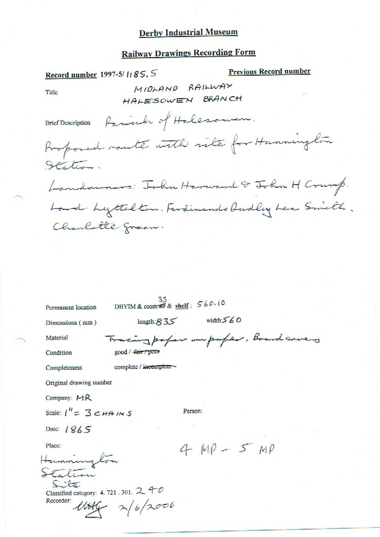## **Railway Drawings Recording Form**

| Record number 1997-5/1185.5              |                                                     | <b>Previous Record number</b>                |  |
|------------------------------------------|-----------------------------------------------------|----------------------------------------------|--|
| Title                                    | MIDLAND RAILWAY                                     |                                              |  |
|                                          | HALESOWEN BRANCH                                    |                                              |  |
| <b>Brief Description</b>                 | Parinh of Holesower.                                |                                              |  |
|                                          |                                                     | Proposed raute with rite for Hunnington      |  |
| Hation.                                  |                                                     |                                              |  |
|                                          |                                                     | Landowners: Tobu Harward & John H Crump.     |  |
|                                          |                                                     | Lord Lyttelton. Ferdinando Dudley Lea Smith. |  |
| Charlotte green.                         |                                                     |                                              |  |
|                                          |                                                     |                                              |  |
|                                          |                                                     |                                              |  |
|                                          |                                                     |                                              |  |
|                                          |                                                     |                                              |  |
| Permanent location                       | DBYIM & room $\overline{\bullet}$ & shelf: $560.10$ |                                              |  |
| Dimensions (mm)                          | length: $835$                                       | width: $560$                                 |  |
| Material                                 |                                                     | Tracing paper un paper. Board covers         |  |
| Condition                                | good / fair / poor                                  |                                              |  |
| Completeness                             | complete / incomplete -                             |                                              |  |
| Original drawing number                  |                                                     |                                              |  |
| Company: $MR$                            |                                                     |                                              |  |
| Scale: $1'' = 3 c H + N S$               | Person:                                             |                                              |  |
| Date: $1865$                             |                                                     |                                              |  |
| Place:                                   |                                                     | $4 MO-5 MO$                                  |  |
| Hunnington                               |                                                     |                                              |  |
|                                          |                                                     |                                              |  |
| Classified category: 4. 721 . 301. $240$ |                                                     |                                              |  |
| Recorder:                                | $11446 - 2/6/2006$                                  |                                              |  |
|                                          |                                                     |                                              |  |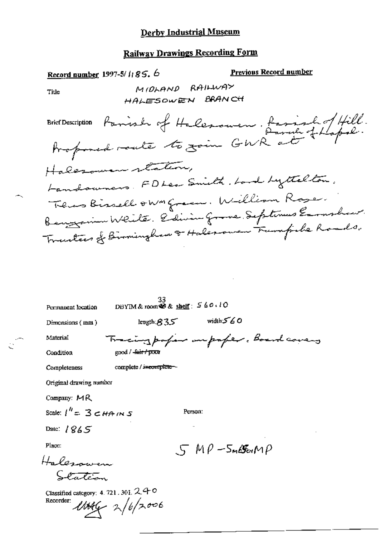# **Railway Drawings Recording Form**

| Record number, 1997-5/1185.6                       |                                                          | <u>Previous Record number</u>                                                                      |
|----------------------------------------------------|----------------------------------------------------------|----------------------------------------------------------------------------------------------------|
| Title                                              | MIDLAND RAILWAY                                          |                                                                                                    |
|                                                    | HALESOWEN BRANCH                                         |                                                                                                    |
|                                                    |                                                          | Brief Description Parish of Halesouven, fascial of Hill.<br>Professed route to zoin GWR at thepol. |
|                                                    |                                                          |                                                                                                    |
|                                                    | Halesomen station,                                       |                                                                                                    |
|                                                    |                                                          | Landowners. FDLea Smith. Land Lyttelton.                                                           |
|                                                    |                                                          | Thus Bissell own green. William Rose.                                                              |
|                                                    |                                                          | Benyamin Weite. Edivin Grove. Septemus Emphan.                                                     |
|                                                    |                                                          | Tracters of Birmingham & Halerowen Trampiche Roads.                                                |
|                                                    |                                                          |                                                                                                    |
|                                                    |                                                          |                                                                                                    |
|                                                    |                                                          |                                                                                                    |
| Permanent location                                 | $\frac{33}{28}$ DBYIM & room $\otimes$ & shelf: $560.10$ |                                                                                                    |
| Dimensions (mm)                                    | length $835^\circ$                                       | width 560                                                                                          |
| Material                                           |                                                          | Tracing paper impaper. Board covers                                                                |
| Condition                                          | good / <del>Jair / poo</del> r                           |                                                                                                    |
| Completeness                                       | complete / incomplete $-$                                |                                                                                                    |
| Original drawing number                            |                                                          |                                                                                                    |
| Company: $MR$                                      |                                                          |                                                                                                    |
| Scale: $1'' = 3$ $\leq$ HA IN S                    | Person:                                                  |                                                                                                    |
| Date: $1865$                                       |                                                          |                                                                                                    |
| Place:                                             |                                                          | $5 M\rho$ -5m $85 M\rho$                                                                           |
| Halesowen                                          |                                                          |                                                                                                    |
|                                                    |                                                          |                                                                                                    |
| Classified category: 4. 721, 301, 240<br>Recorder: | $11046 - 2/6/2006$                                       |                                                                                                    |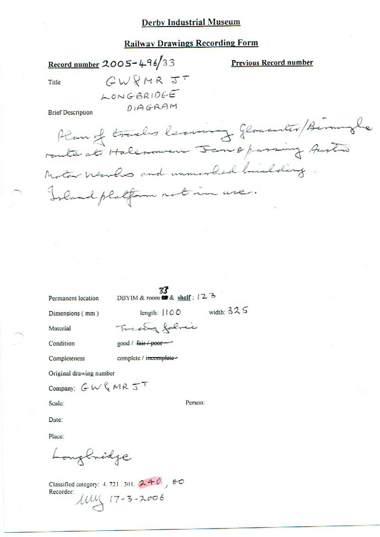#### **Railway Drawings Recording Form**

Record number 2005-496/33

**Previous Record number** 

Title

 $GWRMRJT$ LONGBRIDGE DIAGRAM

**Brief Description** 

Plan of tracks leaving glowenter/Birminglie route at Halerowen Jan & parsing Austin Motor Works and unmorked hailding Island platform not in use.

Permanent location

DBYIM & room  $\frac{33}{28}$  shelf: 12<sup>3</sup>

Dimensions (mm)

width:  $325$ length:  $(100$ 

Material

Condition

good / fair / poor

Tracting falmic

Completeness

complete / incomplete-

Original drawing number

Company:  $GW$   $MRT$ 

Scale:

Person:

Date:

Place:

Longbridge

Classified category: 4, 721, 301,  $240$ ,  $60$ Recorder:  $104$   $(7 - 3 - 2006$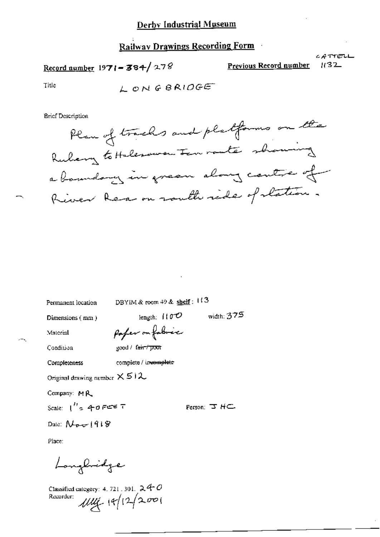#### **Railway Drawings Recording Form**

Record number  $1971 - 384 / 278$ 

Previous Record number

CATTELL  $1132$ 

Title

LONGBRIDGE

**Brief Description** 



Permanent location

DBYIM & room 49 & shelf:  $113$ 

Dimensions (mm)

length:  $110^\circ$ poper on fabric

Condition

Material

good / fair / poor

complete / invemplete Completeness

Original drawing number  $\times$  5 i 2

Company: MR

Scale:  $\int_{0}^{H} z A \theta F e^{z} d\tau$ 

Person: 3 HC

width: 375

Date:  $N_{\text{per}}$  1918

Place:

Longhidge

Classified category: 4, 721, 301,  $24$  O Recorder:  $1114 + 12/2001$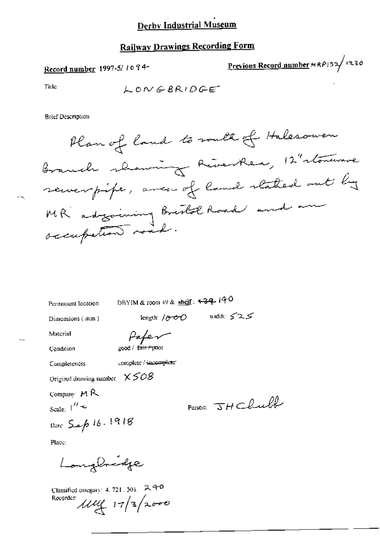### **Railway Drawings Recording Form**

Record number 1997-5/1094-

Previous Record number  $MRP/32$  (230)

Title

 $LONGBRIDEF$ 

**Brief Description** 

Plan of land to south of Halesower Branch shawing RiverRea, 12" stoneware serverpipe, avec of land stated out by MR adgoining Brestol Road and an occupation road.

Person JHChull

Permanent location

DBYIM & room  $\leftrightarrow$  & shelf:  $\leftrightarrow$  39 + 40

Dimensions (mm)

length:  $/$  (9–6–6) width:  $\leq$  2,  $\leq$ Paper

Condition

Material

 $200d / \int \frac{1}{100t} f(\frac{1}{2})$ 

Completeness

complete / incomplete

Original drawing number  $X508$ 

Company  $M R$ 

Scale:  $1'' -$ 

Date Sep 16.1918

Place:

Longbridge

Classified category: 4, 721, 301, 2, 4-0 Recorder ully 17/3/2000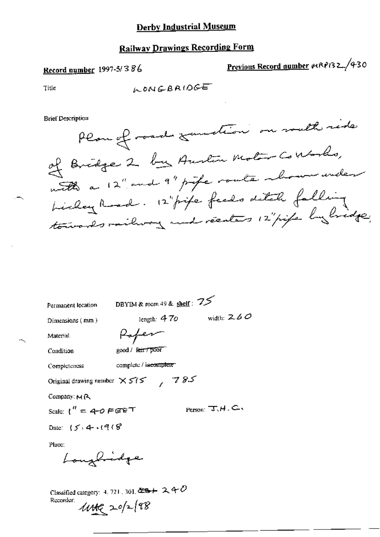### **Railway Drawings Recording Form**

### Record number 1997-5/386

Previous Record number 1989132/430

Title

**Brief Description** 

| Permanent location                                                                                    | DBYIM & room 49 & shelf: $75$  |  |
|-------------------------------------------------------------------------------------------------------|--------------------------------|--|
| Dimensions (mm)                                                                                       | width: $2.60$<br>length: $470$ |  |
| Material                                                                                              | Rafer                          |  |
| Condition                                                                                             | good / fair / poor             |  |
| Completeness                                                                                          | complete / incomplete          |  |
| Original drawing nember $X \leq t$                                                                    | 785                            |  |
| Company: MR                                                                                           |                                |  |
| Scale: $t'' = 4\text{-}0$ $\in$ $\in$ $\mathbb{P}$ $\in$ $\mathbb{P}$                                 | Person: $T, H, C$              |  |
| Date: $5.4.908$                                                                                       |                                |  |
| Place:<br>Longbridge                                                                                  |                                |  |
| Classified category: 4, 721, 301, $\overline{29}$ + 2, 4 $\overline{C}$<br>Recorder:<br>$44.20/2$ (98 |                                |  |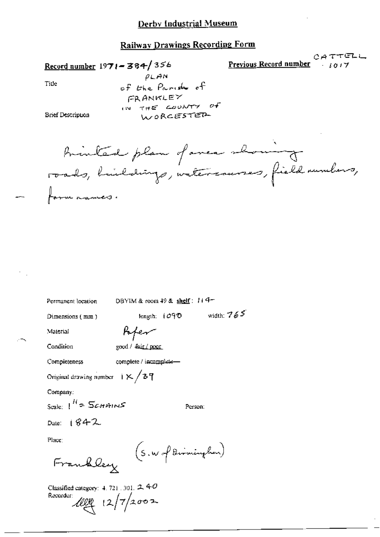#### Railway Drawings Recording Form

Record number  $1971 - 384/356$ 

 $CATTFLL$ Previous Record number  $i017$ 

Title

 $PLAM$ of the Paride of FRANKLEY IN THE COUNTY of WORCESTER

**Brief Description** 

Brinked plan of anca showing roads, buildings, intercauses, field numbers, formanancs.

| Permanent location                        |                        | DBYIM & room $49$ & shelf : $11$ $4-$ |              |
|-------------------------------------------|------------------------|---------------------------------------|--------------|
| Dimensions (mm)                           |                        | length: $1090$                        | width: $765$ |
| Material                                  | Kyer                   |                                       |              |
| Condition                                 | good / fair / poor     |                                       |              |
| Completeness                              | complete / incomplete- |                                       |              |
| Original drawing number $1 \times 737$    |                        |                                       |              |
| Company:                                  |                        |                                       |              |
| Scale: $1^H$ = $5$ <i>c</i> -HAINS        |                        | Person:                               |              |
| Date: $1842$                              |                        |                                       |              |
| Place:                                    |                        |                                       |              |
| Frankley                                  |                        | (S.W.J Birninghon)                    |              |
| Classified category: $4.721.301.$ 2, $40$ |                        |                                       |              |

Recorder:  $12/7/2002$